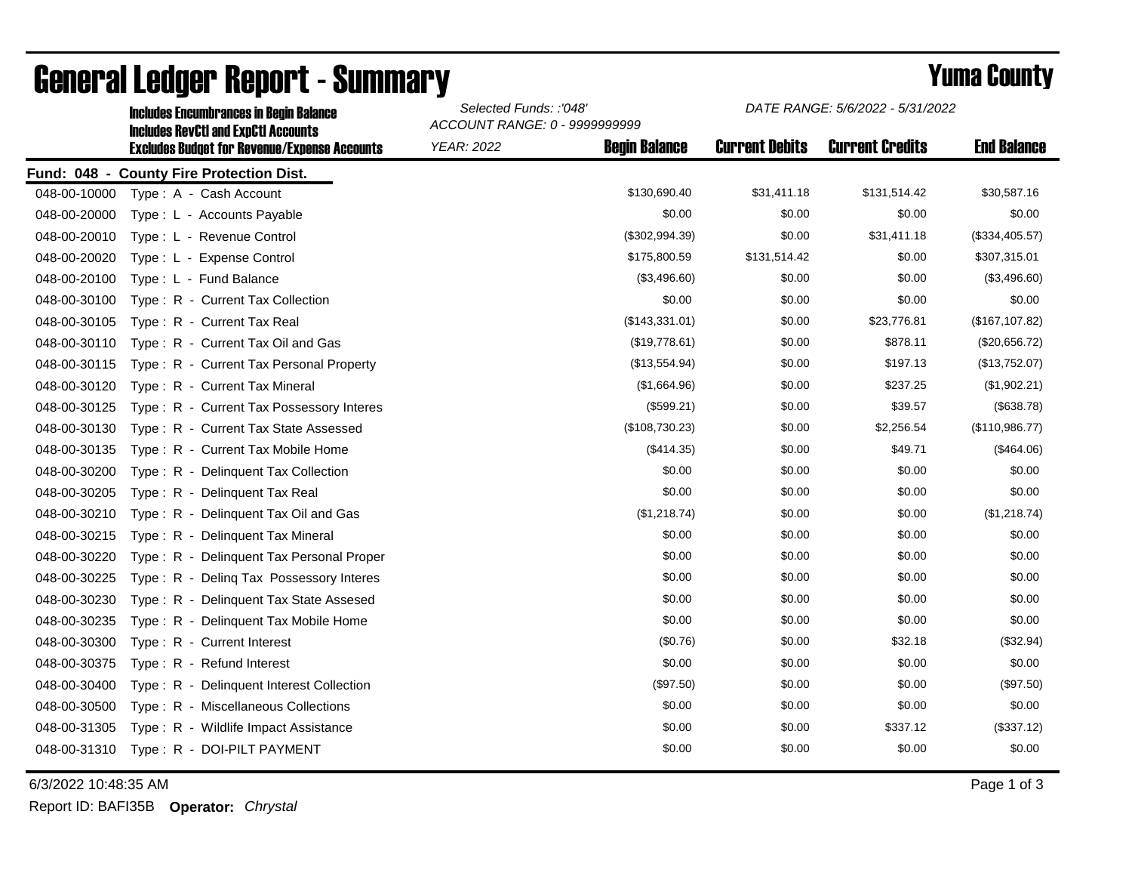|              | <b>Includes Encumbrances in Begin Balance</b><br><b>Includes RevCtI and ExpCtI Accounts</b><br><b>Excludes Budget for Revenue/Expense Accounts</b> | Selected Funds: :'048'<br>ACCOUNT RANGE: 0 - 9999999999 |                      | DATE RANGE: 5/6/2022 - 5/31/2022 |                        |                    |
|--------------|----------------------------------------------------------------------------------------------------------------------------------------------------|---------------------------------------------------------|----------------------|----------------------------------|------------------------|--------------------|
|              |                                                                                                                                                    | <b>YEAR: 2022</b>                                       | <b>Begin Balance</b> | <b>Current Debits</b>            | <b>Current Credits</b> | <b>End Balance</b> |
|              | Fund: 048 - County Fire Protection Dist.                                                                                                           |                                                         |                      |                                  |                        |                    |
| 048-00-10000 | Type: A - Cash Account                                                                                                                             |                                                         | \$130,690.40         | \$31,411.18                      | \$131,514.42           | \$30,587.16        |
| 048-00-20000 | Type: L - Accounts Payable                                                                                                                         |                                                         | \$0.00               | \$0.00                           | \$0.00                 | \$0.00             |
| 048-00-20010 | Type: L - Revenue Control                                                                                                                          |                                                         | (\$302,994.39)       | \$0.00                           | \$31,411.18            | (\$334,405.57)     |
| 048-00-20020 | Type: L - Expense Control                                                                                                                          |                                                         | \$175,800.59         | \$131,514.42                     | \$0.00                 | \$307,315.01       |
| 048-00-20100 | Type: L - Fund Balance                                                                                                                             |                                                         | (\$3,496.60)         | \$0.00                           | \$0.00                 | (\$3,496.60)       |
| 048-00-30100 | Type: R - Current Tax Collection                                                                                                                   |                                                         | \$0.00               | \$0.00                           | \$0.00                 | \$0.00             |
| 048-00-30105 | Type: R - Current Tax Real                                                                                                                         |                                                         | (\$143,331.01)       | \$0.00                           | \$23,776.81            | (\$167, 107.82)    |
| 048-00-30110 | Type: R - Current Tax Oil and Gas                                                                                                                  |                                                         | (\$19,778.61)        | \$0.00                           | \$878.11               | (\$20,656.72)      |
| 048-00-30115 | Type: R - Current Tax Personal Property                                                                                                            |                                                         | (\$13,554.94)        | \$0.00                           | \$197.13               | (\$13,752.07)      |
| 048-00-30120 | Type: R - Current Tax Mineral                                                                                                                      |                                                         | (\$1,664.96)         | \$0.00                           | \$237.25               | (\$1,902.21)       |
| 048-00-30125 | Type: R - Current Tax Possessory Interes                                                                                                           |                                                         | (\$599.21)           | \$0.00                           | \$39.57                | (\$638.78)         |
| 048-00-30130 | Type: R - Current Tax State Assessed                                                                                                               |                                                         | (\$108,730.23)       | \$0.00                           | \$2,256.54             | (\$110,986.77)     |
| 048-00-30135 | Type: R - Current Tax Mobile Home                                                                                                                  |                                                         | (\$414.35)           | \$0.00                           | \$49.71                | (\$464.06)         |
| 048-00-30200 | Type: R - Delinguent Tax Collection                                                                                                                |                                                         | \$0.00               | \$0.00                           | \$0.00                 | \$0.00             |
| 048-00-30205 | $Type: R -$<br>Delinquent Tax Real                                                                                                                 |                                                         | \$0.00               | \$0.00                           | \$0.00                 | \$0.00             |
| 048-00-30210 | Type: R - Delinquent Tax Oil and Gas                                                                                                               |                                                         | (\$1,218.74)         | \$0.00                           | \$0.00                 | (\$1,218.74)       |
| 048-00-30215 | Type: R - Delinquent Tax Mineral                                                                                                                   |                                                         | \$0.00               | \$0.00                           | \$0.00                 | \$0.00             |
| 048-00-30220 | Type: R - Delinguent Tax Personal Proper                                                                                                           |                                                         | \$0.00               | \$0.00                           | \$0.00                 | \$0.00             |
| 048-00-30225 | Type: R - Deling Tax Possessory Interes                                                                                                            |                                                         | \$0.00               | \$0.00                           | \$0.00                 | \$0.00             |
| 048-00-30230 | Delinquent Tax State Assesed<br>$Type: R -$                                                                                                        |                                                         | \$0.00               | \$0.00                           | \$0.00                 | \$0.00             |
| 048-00-30235 | Type: R - Delinquent Tax Mobile Home                                                                                                               |                                                         | \$0.00               | \$0.00                           | \$0.00                 | \$0.00             |
| 048-00-30300 | Type: R - Current Interest                                                                                                                         |                                                         | (\$0.76)             | \$0.00                           | \$32.18                | (\$32.94)          |
| 048-00-30375 | Type: R - Refund Interest                                                                                                                          |                                                         | \$0.00               | \$0.00                           | \$0.00                 | \$0.00             |
| 048-00-30400 | Type: R - Delinquent Interest Collection                                                                                                           |                                                         | (\$97.50)            | \$0.00                           | \$0.00                 | (\$97.50)          |
| 048-00-30500 | Type: R - Miscellaneous Collections                                                                                                                |                                                         | \$0.00               | \$0.00                           | \$0.00                 | \$0.00             |
| 048-00-31305 | Type: R - Wildlife Impact Assistance                                                                                                               |                                                         | \$0.00               | \$0.00                           | \$337.12               | (\$337.12)         |
| 048-00-31310 | Type: R - DOI-PILT PAYMENT                                                                                                                         |                                                         | \$0.00               | \$0.00                           | \$0.00                 | \$0.00             |

## General Ledger Report - Summary **Example 2018** Yuma County

6/3/2022 10:48:35 AM Page 1 of 3

Report ID: BAFI35B **Operator:** *Chrystal*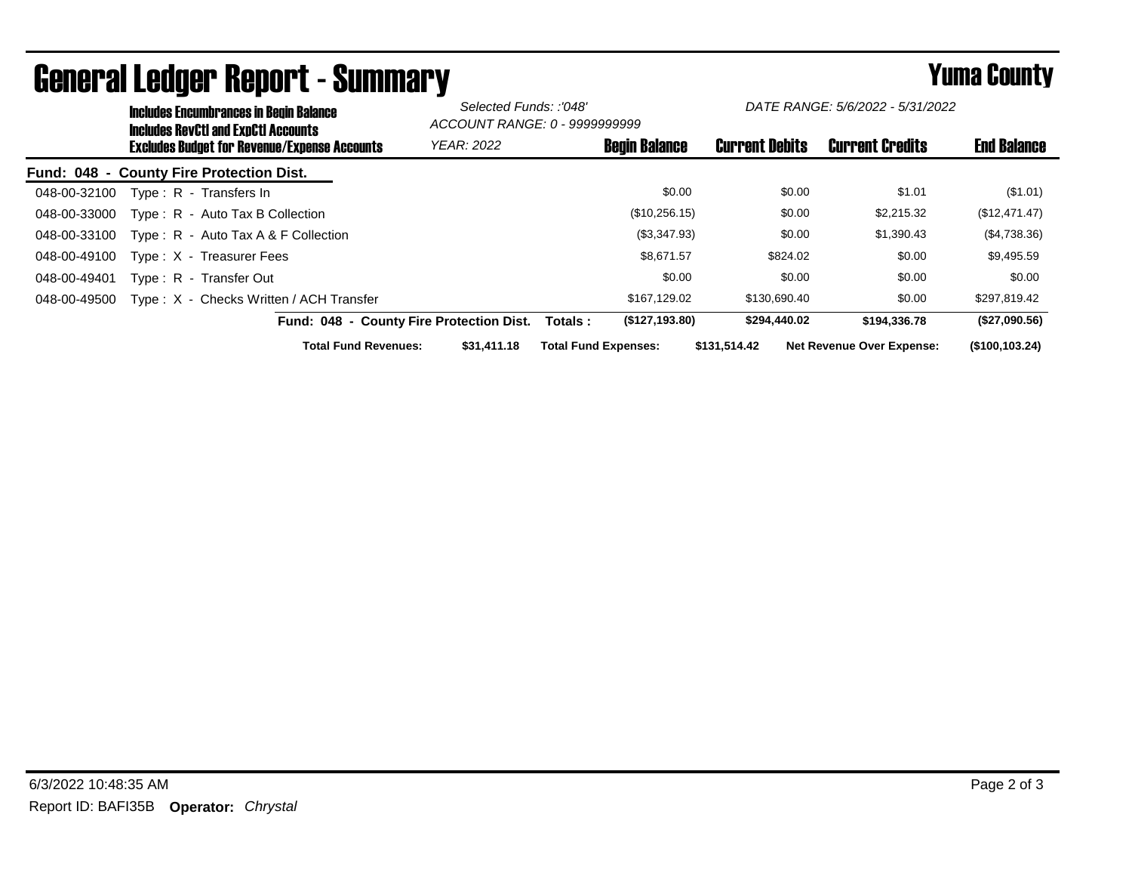| <b>Includes Encumbrances in Begin Balance</b><br><b>Includes RevCtI and ExpCtI Accounts</b> |                                          | Selected Funds: :'048'<br>ACCOUNT RANGE: 0 - 9999999999 |                       | DATE RANGE: 5/6/2022 - 5/31/2022 |                    |
|---------------------------------------------------------------------------------------------|------------------------------------------|---------------------------------------------------------|-----------------------|----------------------------------|--------------------|
| <b>Excludes Budget for Revenue/Expense Accounts</b>                                         | <b>YEAR: 2022</b>                        | <b>Begin Balance</b>                                    | <b>Current Debits</b> | <b>Current Credits</b>           | <b>End Balance</b> |
| Fund: 048 - County Fire Protection Dist.                                                    |                                          |                                                         |                       |                                  |                    |
| Type: R - Transfers In<br>048-00-32100                                                      |                                          | \$0.00                                                  | \$0.00                | \$1.01                           | (S1.01)            |
| Type: R - Auto Tax B Collection<br>048-00-33000                                             |                                          | (\$10,256.15)                                           | \$0.00                | \$2,215.32                       | (\$12,471.47)      |
| Type: R - Auto Tax A & F Collection<br>048-00-33100                                         |                                          | (\$3,347.93)                                            | \$0.00                | \$1,390.43                       | (\$4,738.36)       |
| 048-00-49100<br>Type: X - Treasurer Fees                                                    |                                          | \$8,671.57                                              | \$824.02              | \$0.00                           | \$9,495.59         |
| Type: R - Transfer Out<br>048-00-49401                                                      |                                          | \$0.00                                                  | \$0.00                | \$0.00                           | \$0.00             |
| Type: X - Checks Written / ACH Transfer<br>048-00-49500                                     |                                          | \$167,129.02                                            | \$130,690.40          | \$0.00                           | \$297,819.42       |
|                                                                                             | Fund: 048 - County Fire Protection Dist. | (\$127,193.80)<br>Totals :                              | \$294,440.02          | \$194,336.78                     | (\$27,090.56)      |
| <b>Total Fund Revenues:</b>                                                                 | \$31,411.18                              | <b>Total Fund Expenses:</b>                             | \$131.514.42          | <b>Net Revenue Over Expense:</b> | (\$100, 103.24)    |

## General Ledger Report - Summary **Secret 2000 Secret Connect August 2000**